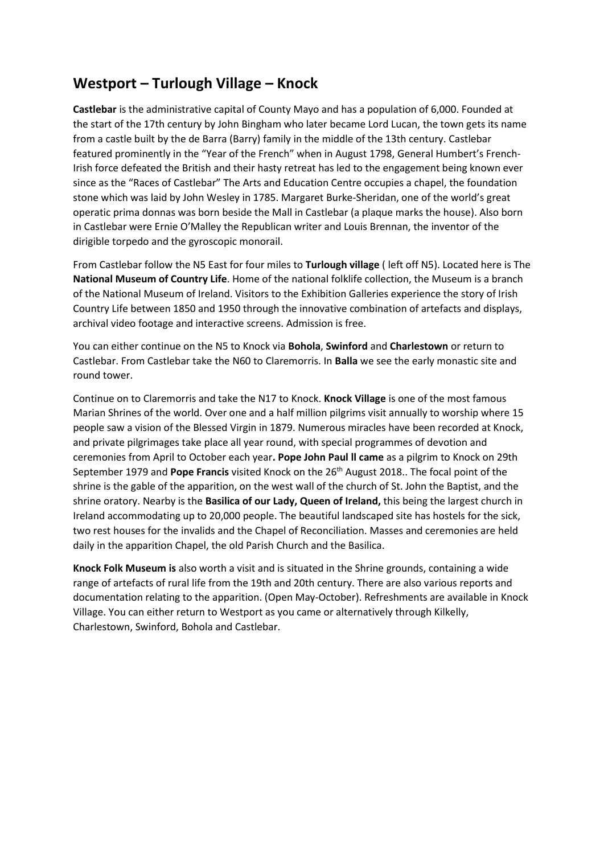## **Westport – Turlough Village – Knock**

**Castlebar** is the administrative capital of County Mayo and has a population of 6,000. Founded at the start of the 17th century by John Bingham who later became Lord Lucan, the town gets its name from a castle built by the de Barra (Barry) family in the middle of the 13th century. Castlebar featured prominently in the "Year of the French" when in August 1798, General Humbert's French-Irish force defeated the British and their hasty retreat has led to the engagement being known ever since as the "Races of Castlebar" The Arts and Education Centre occupies a chapel, the foundation stone which was laid by John Wesley in 1785. Margaret Burke-Sheridan, one of the world's great operatic prima donnas was born beside the Mall in Castlebar (a plaque marks the house). Also born in Castlebar were Ernie O'Malley the Republican writer and Louis Brennan, the inventor of the dirigible torpedo and the gyroscopic monorail.

From Castlebar follow the N5 East for four miles to **Turlough village** ( left off N5). Located here is The **National Museum of Country Life**. Home of the national folklife collection, the Museum is a branch of the National Museum of Ireland. Visitors to the Exhibition Galleries experience the story of Irish Country Life between 1850 and 1950 through the innovative combination of artefacts and displays, archival video footage and interactive screens. Admission is free.

You can either continue on the N5 to Knock via **Bohola**, **Swinford** and **Charlestown** or return to Castlebar. From Castlebar take the N60 to Claremorris. In **Balla** we see the early monastic site and round tower.

Continue on to Claremorris and take the N17 to Knock. **Knock Village** is one of the most famous Marian Shrines of the world. Over one and a half million pilgrims visit annually to worship where 15 people saw a vision of the Blessed Virgin in 1879. Numerous miracles have been recorded at Knock, and private pilgrimages take place all year round, with special programmes of devotion and ceremonies from April to October each year**. Pope John Paul ll came** as a pilgrim to Knock on 29th September 1979 and **Pope Francis** visited Knock on the 26th August 2018.. The focal point of the shrine is the gable of the apparition, on the west wall of the church of St. John the Baptist, and the shrine oratory. Nearby is the **Basilica of our Lady, Queen of Ireland,** this being the largest church in Ireland accommodating up to 20,000 people. The beautiful landscaped site has hostels for the sick, two rest houses for the invalids and the Chapel of Reconciliation. Masses and ceremonies are held daily in the apparition Chapel, the old Parish Church and the Basilica.

**Knock Folk Museum is** also worth a visit and is situated in the Shrine grounds, containing a wide range of artefacts of rural life from the 19th and 20th century. There are also various reports and documentation relating to the apparition. (Open May-October). Refreshments are available in Knock Village. You can either return to Westport as you came or alternatively through Kilkelly, Charlestown, Swinford, Bohola and Castlebar.